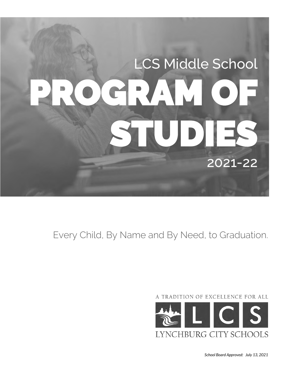# LCS Middle School PROGRAM OF UDI 2021-22

Every Child, By Name and By Need, to Graduation.

A TRADITION OF EXCELLENCE FOR ALL

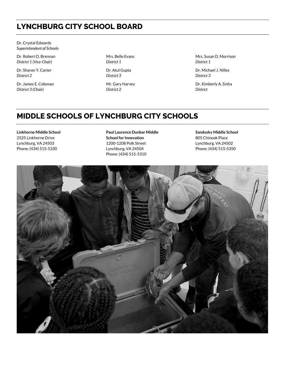# **LYNCHBURG CITY SCHOOL BOARD**

Dr. Crystal Edwards *Superintendent of Schools*

Dr. Robert O. Brennan *District 1 (Vice-Chair)*

Dr. Sharon Y. Carter *District 2*

Dr. James E. Coleman *District 3 (Chair)*

Mrs. Belle Evans *District 1*

Dr. Atul Gupta *District 3*

Mr. Gary Harvey *District 2*

Mrs. Susan D. Morrison *District 1* 

Dr. Michael J. Nilles *District 3* 

Dr. Kimberly A. Sinha *District* 

# **MIDDLE SCHOOLS OF LYNCHBURG CITY SCHOOLS**

**Linkhorne Middle School** 2525 Linkhorne Drive Lynchburg, VA 24503 Phone: (434) 515-5330

**Paul Laurence Dunbar Middle School for Innovation** 1200-1208 Polk Street Lynchburg, VA 24504 Phone: (434) 515-5310

**Sandusky Middle School** 805 Chinook Place Lynchburg, VA 24502 Phone: (434) 515-5350

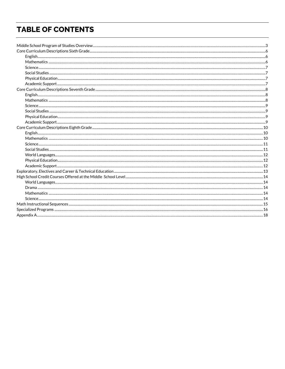# **TABLE OF CONTENTS**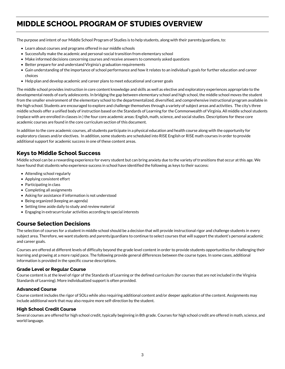# <span id="page-4-0"></span>**MIDDLE SCHOOL PROGRAM OF STUDIES OVERVIEW**

The purpose and intent of our Middle School Program of Studies is to help students, along with their parents/guardians, to:

- Learn about courses and programs offered in our middle schools
- Successfully make the academic and personal-social transition from elementary school
- Make informed decisions concerning courses and receive answers to commonly asked questions
- Better prepare for and understand Virginia's graduation requirements
- Gain understanding of the importance of school performance and how it relates to an individual's goals for further education and career choices
- Help plan and develop academic and career plans to meet educational and career goals

The middle school provides instruction in core content knowledge and skills as well as elective and exploratory experiences appropriate to the developmental needs of early adolescents. In bridging the gap between elementary school and high school, the middle school moves the student from the smaller environment of the elementary school to the departmentalized, diversified, and comprehensive instructional program available in the high school. Students are encouraged to explore and challenge themselves through a variety of subject areas and activities. The city's three middle schools offer a unified body of instruction based on the Standards of Learning for the Commonwealth of Virginia. All middle school students (replace with are enrolled in classes in ) the four core academic areas: English, math, science, and social studies. Descriptions for these core academic courses are found in the core curriculum section of this document.

In addition to the core academic courses, all students participate in a physical education and health course along with the opportunity for exploratory classes and/or electives. In addition, some students are scheduled into RISE English or RISE math courses in order to provide additional support for academic success in one of these content areas.

## **Keys to Middle School Success**

Middle school can be a rewarding experience for every student but can bring anxiety due to the variety of transitions that occur at this age. We have found that students who experience success in school have identified the following as keys to their success:

- Attending school regularly
- Applying consistent effort
- Participating in class
- Completing all assignments
- Asking for assistance if information is not understood
- Being organized (keeping an agenda)
- Setting time aside daily to study and review material
- Engaging in extracurricular activities according to special interests

## **Course Selection Decisions**

The selection of courses for a student in middle school should be a decision that will provide instructional rigor and challenge students in every subject area. Therefore, we want students and parents/guardians to continue to select courses that will support the student's personal academic and career goals.

Courses are offered at different levels of difficulty beyond the grade level content in order to provide students opportunities for challenging their learning and growing at a more rapid pace. The following provide general differences between the course types. In some cases, additional information is provided in the specific course descriptions.

## **Grade Level or Regular Course**

Course content is at the level of rigor of the Standards of Learning or the defined curriculum (for courses that are not included in the Virginia Standards of Learning). More individualized support is often provided.

## **Advanced Course**

Course content includes the rigor of SOLs while also requiring additional content and/or deeper application of the content. Assignments may include additional work that may also require more self-direction by the student.

## **High School Credit Course**

Several courses are offered for high school credit, typically beginning in 8th grade. Courses for high school credit are offered in math, science, and world language.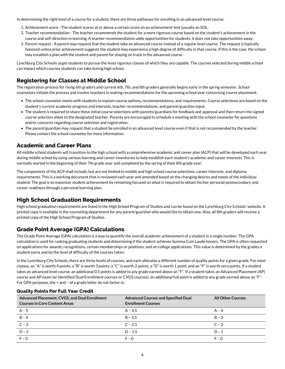In determining the right level of a course for a student, there are three pathways for enrolling in an advanced level course:

- 1. Achievement score The student scores at or above a certain score on an achievement test (usually an SOL .
- 2. Teacher recommendation The teacher recommends the student for a more rigorous course based on the student's achievement in the course and self-direction in learning. A teacher recommendation adds opportunities for students; it does not take opportunities away.
- 3. Parent request A parent may request that the student take an advanced course instead of a regular level course. The request is typically honored unless prior achievement suggests the student may experience a high degree of difficulty in that course. If this is the case, the school may establish a plan with the student and parent for staying on track in the advanced course.

Lynchburg City Schools urges students to pursue the most rigorous classes of which they are capable. The courses selected during middle school can impact which courses students can take during high school.

## **Registering for Classes at Middle School**

The registration process for rising 6th graders and current 6th, 7th, and 8th graders generally begins early in the spring semester. School counselors initiate the process and involve teachers in making recommendations for the upcoming school year concerning course placement.

- The school counselor meets with students to explain course options, recommendations, and requirements. Course selections are based on the student's current academic progress and interests, teacher recommendations, and parent/guardian input.
- The student is required to share these initial course selections with parents/guardians for feedback and approval and then return the signed course selection sheet to the designated teacher. Parents are encouraged to schedule a meeting with the school counselor for questions and/or concerns regarding course selection and registration.
- The parent/guardian may request that a student be enrolled in an advanced level course even if that is not recommended by the teacher. Please contact the school counselor for more information.

## **Academic and Career Plans**

All middle school students will transition to the high school with a comprehensive academic and career plan (ACP) that will be developed each year during middle school by using various learning and career inventories to help establish each student's academic and career interests. This is normally started in the beginning of their 7th grade year and completed by the spring of their 8th grade year.

The components of the ACP shall include, but are not limited to middle and high school course selections, career interests, and diploma requirements. This is a working document that is reviewed each year and amended based on the changing desires and needs of the individual student. The goal is to maximize student achievement by remaining focused on what is required to obtain his/her personal postsecondary and career readiness through a personal learning plan.

## **High School Graduation Requirements**

High school graduation requirements are listed in the High School Program of Studies and can be found on the Lynchburg City Schools' website. A printed copy is available in the counseling department for any parent/guardian who would like to obtain one. Also, all 8th graders will receive a printed copy of the High School Program of Studies.

## **Grade Point Average (GPA) Calculations**

The Grade Point Average (GPA) calculation is a way to quantify the overall academic achievement of a student in a single number. The GPA calculation is used for ranking graduating students and determining if the student achieves Summa Cum Laude honors. The GPA is often requested on applications for awards, recognitions, certain memberships or positions, and on college applications. This value is determined by the grades a student earns and by the level of difficulty of the courses taken.

In the Lynchburg City Schools, there are three levels of courses, and each allocates a different number of quality points for a given grade. For most classes, an "A" is worth 4 points, a "B" is worth 3 points, a "C" is worth 2 points, a "D" is worth 1 point, and an "F" is worth zero points. If a student takes an advanced level course, an additional 0.5 points is added to any grade earned above an "F". If a student takes an Advanced Placement (AP) course and AP exam (or identified Dual Enrollment courses or CVGS courses), an additional full point is added to any grade earned above an "F". For GPA purposes, the + and – of a grade letter do not factor in.

| Advanced Placement, CVGS, and Dual Enrollment<br><b>Courses in Core Content Areas</b> | <b>Advanced Courses and Specified Dual</b><br><b>Enrollment Courses</b> | <b>All Other Courses</b> |
|---------------------------------------------------------------------------------------|-------------------------------------------------------------------------|--------------------------|
| $A - 5$                                                                               | $A - 4.5$                                                               | $A - 4$                  |
| $B - 4$                                                                               | $B - 3.5$                                                               | $B - 3$                  |
| $\overline{C-3}$                                                                      | $C - 2.5$                                                               | $C - 2$                  |
| $D - 2$                                                                               | $D - 1.5$                                                               | $D - 1$                  |
| $F - 0$                                                                               | $F - 0$                                                                 | $F - 0$                  |

## **Quality Points Per Full Year Credit**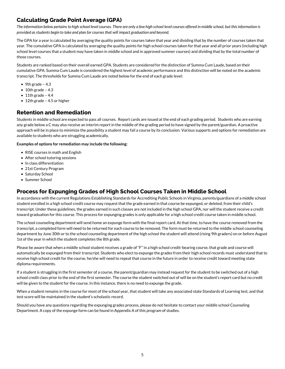## **Calculating Grade Point Average (GPA)**

*The information below pertains to high school level courses. There are only a few high school level courses offered in middle school, but this information is provided as students begin to take and plan for courses that will impact graduation and beyond.*

The GPA for a year is calculated by averaging the quality points for courses taken that year and dividing that by the number of courses taken that year. The cumulative GPA is calculated by averaging the quality points for high school courses taken for that year and all prior years (including high school level courses that a student may have taken in middle school and in approved summer courses) and dividing that by the total number of those courses.

Students are ranked based on their overall earned GPA. Students are considered for the distinction of Summa Cum Laude, based on their cumulative GPA. Summa Cum Laude is considered the highest level of academic performance and this distinction will be noted on the academic transcript. The thresholds for Summa Cum Laude are noted below for the end of each grade level:

- 9th grade  $-4.3$
- $\bullet$  10th grade 4.3
- $\bullet$  11th grade 4.4
- 12th grade 4.5 or higher

## **Retention and Remediation**

Students in middle school are expected to pass all courses. Report cards are issued at the end of each grading period. Students who are earning any grade below a C may also receive an interim report in the middle of the grading period to have signed by the parent/guardian. A proactive approach will be in place to minimize the possibility a student may fail a course by its conclusion. Various supports and options for remediation are available to students who are struggling academically.

## **Examples of options for remediation may include the following:**

- RISE courses in math and English
- After school tutoring sessions
- In class differentiation
- 21st Century Program
- Saturday School
- Summer School

## **Process for Expunging Grades of High School Courses Taken in Middle School**

In accordance with the current Regulations Establishing Standards for Accrediting Public Schools in Virginia, parents/guardians of a middle school student enrolled in a high school credit course may request that the grade earned in that course be expunged, or deleted, from their child's transcript. Under these guidelines, the grades earned in such classes are not included in the high school GPA, nor will the student receive a credit toward graduation for this course. This process for expunging grades is only applicable for a high school credit course taken in middle school.

The school counseling department will send home an expunge form with the final report card. At that time, to have the course removed from the transcript, a completed form will need to be returned for each course to be removed. The form must be returned to the middle school counseling department by June 30th or to the school counseling department of the high school the student will attend (rising 9th graders) on or before August 1st of the year in which the student completes the 8th grade.

Please be aware that when a middle school student receives a grade of "F" in a high school credit-bearing course, that grade and course will automatically be expunged from their transcript. Students who elect to expunge the grades from their high school records must understand that to receive high school credit for the course, he/she will need to repeat that course in the future in order to receive credit toward meeting state diploma requirements.

If a student is struggling in the first semester of a course, the parent/guardian may instead request for the student to be switched out of a high school credit class prior to the end of the first semester. The course the student switched out of will be on the student's report card but no credit will be given to the student for the course. In this instance, there is no need to expunge the grade.

When a student remains in the course for most of the school year, that student will take any associated state Standards of Learning test, and that test score will be maintained in the student's scholastic record.

Should you have any questions regarding the expunging grades process, please do not hesitate to contact your middle school Counseling Department. A copy of the expunge form can be found in Appendix A of this program of studies.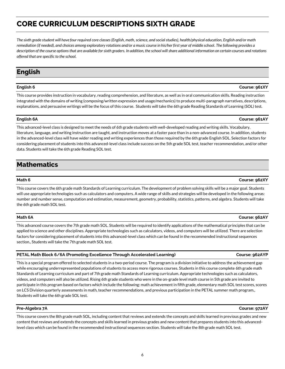# <span id="page-7-0"></span>**CORE CURRICULUM DESCRIPTIONS SIXTH GRADE**

*The sixth grade student will have four required core classes (English, math, science, and social studies), health/physical education, English and/or math remediation (if needed), and choices among exploratory rotations and/or a music course in his/her first year of middle school. The following provides a description of the course options that are available for sixth graders. In addition, the school will share additional information on certain courses and rotations offered that are specific to the school.*

# <span id="page-7-1"></span>**English**

This course provides instruction in vocabulary, reading comprehension, and literature, as well as in oral communication skills. Reading instruction integrated with the domains of writing (composing/written expression and usage/mechanics) to produce multi-paragraph narratives, descriptions, explanations, and persuasive writings will be the focus of this course. Students will take the 6th grade Reading Standards of Learning (SOL) test.

## **English 6A Course: 961AY**

This advanced-level class is designed to meet the needs of 6th grade students with well-developed reading and writing skills. Vocabulary, literature, language, and writing instruction are taught, and instruction moves at a faster pace than in a non-advanced course. In addition, students in the advanced-level class will have wider reading and writing experiences than those required by the 6th grade English SOL. Selection factors for considering placement of students into this advanced-level class include success on the 5th grade SOL test, teacher recommendation, and/or other data. Students will take the 6th grade Reading SOL test.

# <span id="page-7-2"></span>**Mathematics**

This course covers the 6th grade math Standards of Learning curriculum. The development of problem solving skills will be a major goal. Students will use appropriate technologies such as calculators and computers. A wide range of skills and strategies will be developed in the following areas: number and number sense, computation and estimation, measurement, geometry, probability, statistics, patterns, and algebra. Students will take the 6th grade math SOL test.

## **Math 6A Course: 962AY**

This advanced course covers the 7th grade math SOL. Students will be required to identify applications of the mathematical principles that can be applied to science and other disciplines. Appropriate technologies such as calculators, videos, and computers will be utilized. There are selection factors for considering placement of students into this advanced-level class which can be found in the recommended instructional sequences section., Students will take the 7th grade math SOL test.

## **PETAL Math Block 6/6A (Promoting Excellence Through Accelerated Learning) <b>Course: 962AYP** Course: 962AYP

This is a special program offered to selected students in a two-period course. The program is a division initiative to address the achievement gap while encouraging underrepresented populations of students to access more rigorous courses. Students in this course complete 6th grade math Standards of Learning curriculum and part of 7th grade math Standards of Learning curriculum. Appropriate technologies such as calculators, videos, and computers will also be utilized. Rising 6th grade students who were in the on-grade level math course in 5th grade are invited to participate in this program based on factors which include the following: math achievement in fifth grade, elementary math SOL test scores, scores on LCS Division quarterly assessments in math, teacher recommendations, and previous participation in the PETAL summer math program., Students will take the 6th grade SOL test.

## **Pre-Algebra 7A Course: 972AY**

This course covers the 8th grade math SOL, including content that reviews and extends the concepts and skills learned in previous grades and new content that reviews and extends the concepts and skills learned in previous grades and new content that prepares students into this advancedlevel class which can be found in the recommended instructional sequences section. Students will take the 8th grade math SOL test.

## **Math 6 Course: 962XY**

## **English 6 Course: 961XY**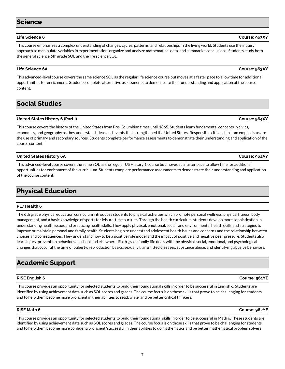## <span id="page-8-0"></span>**Science**

This course emphasizes a complex understanding of changes, cycles, patterns, and relationships in the living world. Students use the inquiry approach to manipulate variables in experimentation, organize and analyze mathematical data, and summarize conclusions. Students study both the general science 6th grade SOL and the life science SOL.

## **Life Science 6A Course: 963AY**

This advanced-level course covers the same science SOL as the regular life science course but moves at a faster pace to allow time for additional opportunities for enrichment. Students complete alternative assessments to demonstrate their understanding and application of the course content.

## <span id="page-8-1"></span>**Social Studies**

## **United States History 6 (Part I) Course: 964XY**

This course covers the history of the United States from Pre-Columbian times until 1865. Students learn fundamental concepts in civics, economics, and geography as they understand ideas and events that strengthened the United States. Responsible citizenship is an emphasis as are the use of primary and secondary sources. Students complete performance assessments to demonstrate their understanding and application of the course content.

## **United States History 6A Course: 964AY**

This advanced-level course covers the same SOL as the regular US History 1 course but moves at a faster pace to allow time for additional opportunities for enrichment of the curriculum. Students complete performance assessments to demonstrate their understanding and application of the course content.

# <span id="page-8-2"></span>**Physical Education**

## **PE/Health 6**

The 6th grade physical education curriculum introduces students to physical activities which promote personal wellness, physical fitness, body management, and a basic knowledge of sports for leisure-time pursuits. Through the health curriculum, students develop more sophistication in understanding health issues and practicing health skills. They apply physical, emotional, social, and environmental health skills and strategies to improve or maintain personal and family health. Students begin to understand adolescent health issues and concerns and the relationship between choices and consequences. They understand how to be a positive role model and the impact of positive and negative peer pressure. Students also learn injury-prevention behaviors at school and elsewhere. Sixth grade family life deals with the physical, social, emotional, and psychological changes that occur at the time of puberty, reproduction basics, sexually transmitted diseases, substance abuse, and identifying abusive behaviors.

## <span id="page-8-3"></span>**Academic Support**

## **RISE English 6 Course: 961YE**

This course provides an opportunity for selected students to build their foundational skills in order to be successful in English 6. Students are identified by using achievement data such as SOL scores and grades. The course focus is on those skills that prove to be challenging for students and to help them become more proficient in their abilities to read, write, and be better critical thinkers.

## **RISE Math 6 Course: 962YE**

This course provides an opportunity for selected students to build their foundational skills in order to be successful in Math 6. These students are identified by using achievement data such as SOL scores and grades. The course focus is on those skills that prove to be challenging for students and to help them become more confident/proficient/successful in their abilities to do mathematics and be better mathematical problem solvers.

**Life Science 6 Course: 963XY**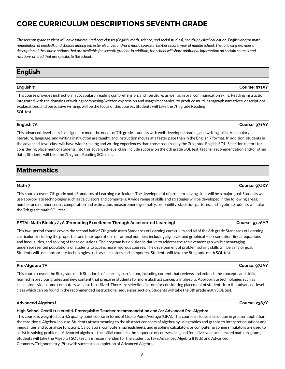# <span id="page-9-0"></span>**CORE CURRICULUM DESCRIPTIONS SEVENTH GRADE**

*The seventh grade student will have four required core classes (English, math, science, and social studies), health/physical education, English and/or math remediation (if needed), and choices among semester electives and/or a music course in his/her second year of middle school. The following provides a description of the course options that are available for seventh graders. In addition, the school will share additional information on certain courses and rotations offered that are specific to the school.*

# <span id="page-9-1"></span>**English**

## **English 7 Course: 971XY**

This course provides instruction in vocabulary, reading comprehension, and literature, as well as in oral communication skills. Reading instruction integrated with the domains of writing (composing/written expression and usage/mechanics) to produce multi-paragraph narratives, descriptions, explanations, and persuasive writings will be the focus of this course., Students will take the 7th grade Reading SOL test.

## **English 7A Course: 971AY**

This advanced-level class is designed to meet the needs of 7th grade students with well-developed reading and writing skills. Vocabulary, literature, language, and writing instruction are taught, and instruction moves at a faster pace than in the English 7 format. In addition, students in the advanced-level class will have wider reading and writing experiences than those required by the 7th grade English SOL. Selection factors for considering placement of students into this advanced-level class include success on the 6th grade SOL test, teacher recommendation and/or other data., Students will take the 7th grade Reading SOL test.

# <span id="page-9-2"></span>**Mathematics**

## **Math 7 Course: 972XY**

This course covers 7th grade math Standards of Learning curriculum. The development of problem solving skills will be a major goal. Students will use appropriate technologies such as calculators and computers. A wide range of skills and strategies will be developed in the following areas: number and number sense, computation and estimation, measurement, geometry, probability, statistics, patterns, and algebra. Students will take the 7th grade math SOL test.

| PETAL Math Block 7/7A (Promoting Excellence Through Accelerated Learning) | Course: 972AYP |
|---------------------------------------------------------------------------|----------------|
|                                                                           |                |

This two-period course covers the second half of 7th grade math Standards of Learning curriculum and all of the 8th grade Standards of Learning curriculum including the properties and basic operations of rational numbers including algebraic and graphical representation, linear equations and inequalities, and solving of these equations. The program is a division initiative to address the achievement gap while encouraging underrepresented populations of students to access more rigorous courses. The development of problem solving skills will be a major goal. Students will use appropriate technologies such as calculators and computers. Students will take the 8th grade math SOL test.

## **Pre-Algebra 7A Course: 972AY**

This course covers the 8th grade math Standards of Learning curriculum, including content that reviews and extends the concepts and skills learned in previous grades and new content that prepares students for more abstract concepts in algebra. Appropriate technologies such as calculators, videos, and computers will also be utilized. There are selection factors for considering placement of students into this advanced-level class which can be found in the recommended instructional sequences section. Students will take the 8th grade math SOL test.

## **Advanced Algebra I Course: 2387Y**

## **High School Credit (1.0 credit). Prerequisite: Teacher recommendation and/or Advanced Pre-Algebra.**

This course is weighted as a 4.5 quality point course in terms of Grade Point Average (GPA). This course includes instruction in greater depth than the traditional Algebra I course. Students attach meaning to the abstract concepts of algebra by using tables and graphs to interpret equations and inequalities and to analyze functions. Calculators, computers, spreadsheets, and graphing calculators or computer graphing simulators are used to assist in solving problems. Advanced algebra is the initial course in the sequence of courses designed for a five-year accelerated math program., Students will take the Algebra I SOL test. It is recommended for the student to take Advanced Algebra II (8th) and Advanced Geometry/Trigonometry (9th) with successful completion of Advanced Algebra I

8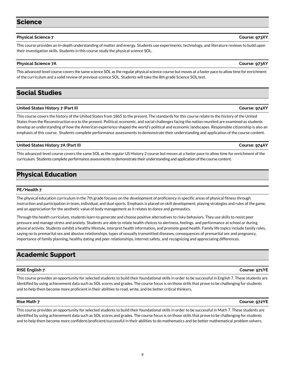## <span id="page-10-0"></span>**Science**

## **Physical Science 7 Course: 973XY**

This course provides an in-depth understanding of matter and energy. Students use experiments, technology, and literature reviews to build upon their investigation skills. Students in this course study the physical science SOL.

## **Physical Science 7A Course: 973AY**

This advanced-level course covers the same science SOL as the regular physical science course but moves at a faster pace to allow time for enrichment of the curriculum and a solid review of previous science SOL. Students will take the 8th grade Science SOL test.

# <span id="page-10-1"></span>**Social Studies**

## **United States History 7 (Part II) Course: 974XY**

This course covers the history of the United States from 1865 to the present. The standards for this course relate to the history of the United States from the Reconstruction era to the present. Political, economic, and social challenges facing the nation reunited are examined as students develop an understanding of how the American experience shaped the world's political and economic landscapes. Responsible citizenship is also an emphasis of this course. Students complete performance assessments to demonstrate their understanding and application of the course content.

## **United States History 7A (Part II) Course: 974AY**

This advanced-level course covers the same SOL as the regular US History 2 course but moves at a faster pace to allow time for enrichment of the curriculum. Students complete performance assessments to demonstrate their understanding and application of the course content.

# <span id="page-10-2"></span>**Physical Education**

## **PE/Health 7**

The physical education curriculum in the 7th grade focuses on the development of proficiency in specific areas of physical fitness through instruction and participation in team, individual, and dual sports. Emphasis is placed on skill development, playing strategies and rules of the game, and an appreciation for the aesthetic value of body management as it relates to dance and gymnastics.

Through the health curriculum, students learn to generate and choose positive alternatives to risky behaviors. They use skills to resist peer pressure and manage stress and anxiety. Students are able to relate health choices to alertness, feelings, and performance at school or during physical activity. Students exhibit a healthy lifestyle, interpret health information, and promote good health. Family life topics include family roles, saying no to premarital sex and abusive relationships, types of sexually transmitted diseases, consequences of premarital sex and pregnancy, importance of family planning, healthy dating and peer relationships, internet safety, and recognizing and appreciating differences.

# <span id="page-10-3"></span>**Academic Support**

## **RISE English 7 Course: 971YE**

This course provides an opportunity for selected students to build their foundational skills in order to be successful in English 7. These students are identified by using achievement data such as SOL scores and grades. The course focus is on those skills that prove to be challenging for students and to help them become more proficient in their abilities to read, write, and be better critical thinkers.

## **Rise Math 7 Course: 972YE**

This course provides an opportunity for selected students to build their foundational skills in order to be successful in Math 7. These students are identified by using achievement data such as SOL scores and grades. The course focus is on those skills that prove to be challenging for students and to help them become more confident/proficient/successful in their abilities to do mathematics and be better mathematical problem solvers.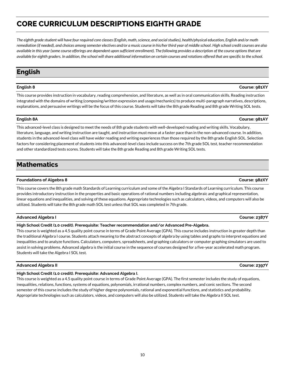# <span id="page-11-0"></span>**CORE CURRICULUM DESCRIPTIONS EIGHTH GRADE**

*The eighth grade student will have four required core classes (English, math, science, and social studies), health/physical education, English and/or math remediation (if needed), and choices among semester electives and/or a music course in his/her third year of middle school. High school credit courses are also available in this year (some course offerings are dependent upon sufficient enrollment). The following provides a description of the course options that are available for eighth graders. In addition, the school will share additional information on certain courses and rotations offered that are specific to the school.*

# <span id="page-11-1"></span>**English**

This course provides instruction in vocabulary, reading comprehension, and literature, as well as in oral communication skills. Reading instruction integrated with the domains of writing (composing/written expression and usage/mechanics) to produce multi-paragraph narratives, descriptions, explanations, and persuasive writings will be the focus of this course. Students will take the 8th grade Reading and 8th grade Writing SOL tests.

## **English 8A Course: 981AY**

This advanced-level class is designed to meet the needs of 8th grade students with well-developed reading and writing skills. Vocabulary, literature, language, and writing instruction are taught, and instruction must move at a faster pace than in the non-advanced course. In addition, students in the advanced-level class will have wider reading and writing experiences than those required by the 8th grade English SOL. Selection factors for considering placement of students into this advanced-level class include success on the 7th grade SOL test, teacher recommendation and other standardized tests scores. Students will take the 8th grade Reading and 8th grade Writing SOL tests.

# <span id="page-11-2"></span>**Mathematics**

## **Foundations of Algebra 8 Course: 982XY**

This course covers the 8th grade math Standards of Learning curriculum and some of the Algebra I Standards of Learning curriculum. This course provides introductory instruction in the properties and basic operations of rational numbers including algebraic and graphical representation, linear equations and inequalities, and solving of these equations. Appropriate technologies such as calculators, videos, and computers will also be utilized. Students will take the 8th grade math SOL test unless that SOL was completed in 7th grade.

## **Advanced Algebra I Course: 2387Y**

## **High School Credit (1.0 credit). Prerequisite: Teacher recommendation and/or Advanced Pre-Algebra.**

This course is weighted as a 4.5 quality point course in terms of Grade Point Average (GPA). This course includes instruction in greater depth than the traditional Algebra I course. Students attach meaning to the abstract concepts of algebra by using tables and graphs to interpret equations and inequalities and to analyze functions. Calculators, computers, spreadsheets, and graphing calculators or computer graphing simulators are used to assist in solving problems. Advanced algebra is the initial course in the sequence of courses designed for a five-year accelerated math program. Students will take the Algebra I SOL test.

## **Advanced Algebra II Course: 2397Y**

## **High School Credit (1.0 credit). Prerequisite: Advanced Algebra I.**

This course is weighted as a 4.5 quality point course in terms of Grade Point Average (GPA). The first semester includes the study of equations, inequalities, relations, functions, systems of equations, polynomials, irrational numbers, complex numbers, and conic sections. The second semester of this course includes the study of higher degree polynomials, rational and exponential functions, and statistics and probability. Appropriate technologies such as calculators, videos, and computers will also be utilized. Students will take the Algebra II SOL test.

## **English 8 Course: 981XY**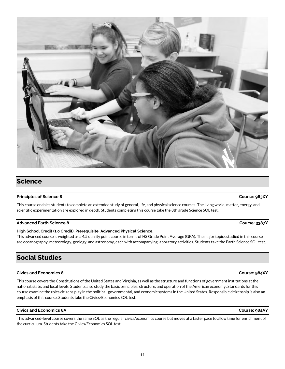<span id="page-12-0"></span>**Science**

## **Principles of Science 8 Course: 983XY**

This course enables students to complete an extended study of general, life, and physical science courses. The living world, matter, energy, and scientific experimentation are explored in depth. Students completing this course take the 8th grade Science SOL test.

## **Advanced Earth Science 8 Course: 3387Y**

## **High School Credit (1.0 Credit). Prerequisite: Advanced Physical Science.**

This advanced course is weighted as a 4.5 quality point course in terms of HS Grade Point Average (GPA). The major topics studied in this course are oceanography, meteorology, geology, and astronomy, each with accompanying laboratory activities. Students take the Earth Science SOL test.

# <span id="page-12-1"></span>**Social Studies**

## **Civics and Economics 8 Course: 984XY**

This course covers the Constitutions of the United States and Virginia, as well as the structure and functions of government institutions at the national, state, and local levels. Students also study the basic principles, structure, and operation of the American economy. Standards for this course examine the roles citizens play in the political, governmental, and economic systems in the United States. Responsible citizenship is also an emphasis of this course. Students take the Civics/Economics SOL test.

## **Civics and Economics 8A Course: 984AY**

This advanced-level course covers the same SOL as the regular civics/economics course but moves at a faster pace to allow time for enrichment of the curriculum. Students take the Civics/Economics SOL test.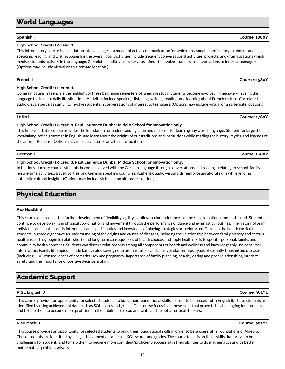# <span id="page-13-0"></span>**World Languages**

## **Spanish I Course: 1880Y**

## **High School Credit (1.0 credit).**

This introductory course is an initiation into language as a means of active communication for which a reasonable proficiency in understanding, speaking, reading, and writing Spanish is the overall goal. Activities include frequent conversational activities, projects, and dramatizations which involve students actively in the language. Correlated audio-visuals serve as stimuli to involve students in conversations to interest teenagers. (Options may include virtual or an alternate location.)

## **French I Course: 1580Y**

## **High School Credit (1.0 credit).**

Communicating in French is the highlight of these beginning semesters of language study. Students become involved immediately in using the language to simulate daily life situations. Activities include speaking, listening, writing, reading, and learning about French culture. Correlated audio-visuals serve as stimuli to involve students in conversations of interest to teenagers. (Options may include virtual or an alternate location.)

## **High School Credit (1.0 credit). Paul Laurence Dunbar Middle School for Innovation only.**

This first-year Latin course provides the foundation for understanding Latin and the basis for learning any world language. Students enlarge their vocabulary, refine grammar in English, and learn about the origins of our traditions and institutions while reading the history, myths, and legends of the ancient Romans. (Options may include virtual or an alternate location.)

**High School Credit (1.0 credit). Paul Laurence Dunbar Middle School for Innovation only.**

In this introductory course, students become involved with the German language through conversations and readings relating to school, family, leisure-time activities, travel, parties, and German speaking countries. Authentic audio-visual aids reinforce aural-oral skills while lending authentic cultural insights. (Options may include virtual or an alternate location.)

# <span id="page-13-1"></span>**Physical Education**

## **PE/Health 8**

This course emphasizes the further development of flexibility, agility, cardiovascular endurance, balance, coordination, time, and speed. Students continue to develop skills in physical coordination and movement through the performance of dance and gymnastics routines. The history of team, individual, and dual sports is introduced, and specific rules and knowledge of playing strategies are reinforced. Through the health curriculum, students in grade eight have an understanding of the origins and causes of diseases, including the relationship between family history and certain health risks. They begin to relate short- and long-term consequences of health choices and apply health skills to specific personal, family, and community health concerns. Students can discern relationships among all components of health and wellness and knowledgeably use consumer information. Family life topics include family roles, saying no to premarital sex and abusive relationships, types of sexually transmitted diseases (including HIV), consequences of premarital sex and pregnancy, importance of family planning, healthy dating and peer relationships, internet safety, and the importance of positive decision making.

# <span id="page-13-2"></span>**Academic Support**

This course provides an opportunity for selected students to build their foundational skills in order to be successful in English 8. These students are identified by using achievement data such as SOL scores and grades. The course focus is on those skills that prove to be challenging for students and to help them to become more proficient in their abilities to read and write and be better critical thinkers.

## **Rise Math 8 Course: 982YE**

This course provides an opportunity for selected students to build their foundational skills in order to be successful in Foundations of Algebra. These students are identified by using achievement data such as SOL scores and grades. The course focus is on those skills that prove to be challenging for students and to help them to become more confident/proficient/successful in their abilities to do mathematics and be better mathematical problem solvers.

**Latin I Course: 1780Y**

## **German I Course: 1680Y**

**RISE English 8 Course: 981YE**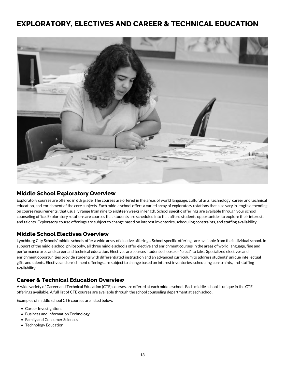# <span id="page-14-0"></span>**EXPLORATORY, ELECTIVES AND CAREER & TECHNICAL EDUCATION**



## **Middle School Exploratory Overview**

Exploratory courses are offered in 6th grade. The courses are offered in the areas of world language, cultural arts, technology, career and technical education, and enrichment of the core subjects. Each middle school offers a varied array of exploratory rotations that also vary in length depending on course requirements. that usually range from nine to eighteen weeks in length. School specific offerings are available through your school counseling office. Exploratory rotations are courses that students are scheduled into that afford students opportunities to explore their interests and talents. Exploratory course offerings are subject to change based on interest inventories, scheduling constraints, and staffing availability.

## **Middle School Electives Overview**

Lynchburg City Schools' middle schools offer a wide array of elective offerings. School specific offerings are available from the individual school. In support of the middle school philosophy, all three middle schools offer elective and enrichment courses in the areas of world language, fine and performance arts, and career and technical education. Electives are courses students choose or "elect" to take. Specialized electives and enrichment opportunities provide students with differentiated instruction and an advanced curriculum to address students' unique intellectual gifts and talents. Elective and enrichment offerings are subject to change based on interest inventories, scheduling constraints, and staffing availability.

## **Career & Technical Education Overview**

A wide variety of Career and Technical Education (CTE) courses are offered at each middle school. Each middle school is unique in the CTE offerings available. A full list of CTE courses are available through the school counseling department at each school.

Examples of middle school CTE courses are listed below.

- Career Investigations
- Business and Information Technology
- Family and Consumer Sciences
- Technology Education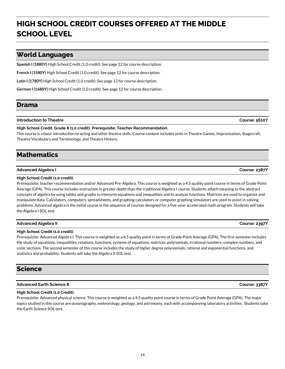# <span id="page-15-0"></span>**HIGH SCHOOL CREDIT COURSES OFFERED AT THE MIDDLE SCHOOL LEVEL**

## <span id="page-15-1"></span>**World Languages**

**Spanish I (1880Y)** High School Credit (1.0 credit): See page 12 for course description.

**French I (1580Y)** High School Credit (1.0 credit): See page 12 for course description.

**Latin I (1780Y)** High School Credit (1.0 credit): See page 12 for course description.

**German I (1680Y)** High School Credit (1.0 credit): See page 12 for course description.

## <span id="page-15-2"></span>**Drama**

## **Introduction to Theatre Course: 5610Y**

## **High School Credit, Grade 8 (1.0 credit). Prerequisite: Teacher Recommendation.**

This course is a basic introduction to acting and other theatre skills. Course content includes units in Theatre Games, Improvisation, Stagecraft, Theatre Vocabulary and Terminology, and Theatre History.

# <span id="page-15-3"></span>**Mathematics**

## **Advanced Algebra I Course: 2387Y**

## **High School Credit (1.0 credit).**

Prerequisite: teacher recommendation and/or Advanced Pre-Algebra. This course is weighted as a 4.5 quality point course in terms of Grade Point Average (GPA). This course includes instruction in greater depth than the traditional Algebra I course. Students attach meaning to the abstract concepts of algebra by using tables and graphs to interpret equations and inequalities and to analyze functions. Matrices are used to organize and manipulate data. Calculators, computers, spreadsheets, and graphing calculators or computer graphing simulators are used to assist in solving problems. Advanced algebra is the initial course in the sequence of courses designed for a five-year accelerated math program. Students will take the Algebra I SOL test.

## **Advanced Algebra II Course: 2397Y**

## **High School Credit (1.0 credit).**

Prerequisite: Advanced Algebra I. This course is weighted as a 4.5 quality point in terms of Grade Point Average (GPA). The first semester includes the study of equations, inequalities, relations, functions, systems of equations, matrices, polynomials, irrational numbers, complex numbers, and conic sections. The second semester of this course includes the study of higher degree polynomials, rational and exponential functions, and statistics and probability. Students will take the Algebra II SOL test.

# <span id="page-15-4"></span>**Science**

## **Advanced Earth Science 8 Course: 3387Y**

## **High School Credit (1.0 Credit).**

Prerequisite: Advanced physical science. This course is weighted as a 4.5 quality point course in terms of Grade Point Average (GPA). The major topics studied in this course are oceanography, meteorology, geology, and astronomy, each with accompanying laboratory activities. Students take the Earth Science SOL test.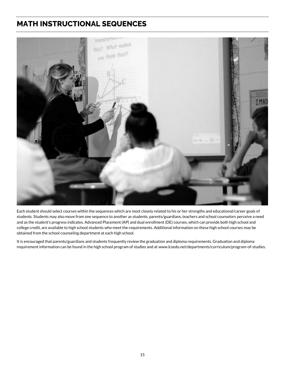# <span id="page-16-0"></span>**MATH INSTRUCTIONAL SEQUENCES**



Each student should select courses within the sequences which are most closely related to his or her strengths and educational/career goals of students. Students may also move from one sequence to another as students, parents/guardians, teachers and school counselors perceive a need and as the student's progress indicates. Advanced Placement (AP) and dual enrollment (DE) courses, which can provide both high school and college credit, are available to high school students who meet the requirements. Additional information on these high school courses may be obtained from the school counseling department at each high school.

It is encouraged that parents/guardians and students frequently review the graduation and diploma requirements. Graduation and diploma requirement information can be found in the high school program of studies and at www.lcsedu.net/departments/curriculum/program-of-studies.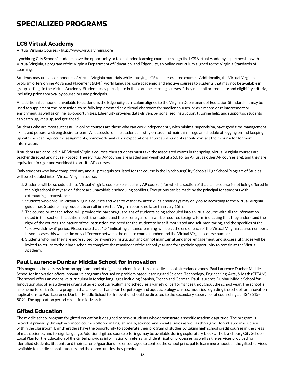## <span id="page-17-0"></span>**LCS Virtual Academy**

Virtual Virginia Courses - http://www.virtualvirginia.org

Lynchburg City Schools' students have the opportunity to take blended learning courses through the LCS Virtual Academy in partnership with Virtual Virginia, a program of the Virginia Department of Education, and Edgenuity, an online curriculum aligned to the Virginia Standards of Learning.

Students may utilize components of Virtual Virginia materials while studying LCS teacher created courses. Additionally, the Virtual Virginia program offers online Advanced Placement (AP®), world language, core academic, and elective courses to students that may not be available in group settings in the Virtual Academy. Students may participate in these online learning courses if they meet all prerequisite and eligibility criteria, including prior approval by counselors and principals.

An additional component available to students is the Edgenuity curriculum aligned to the Virginia Department of Education Standards. It may be used to supplement the instruction, to be fully implemented as a virtual classroom for smaller courses, or as a means or reinforcement or enrichment, as well as online lab opportunities. Edgenuity provides data-driven, personalized instruction, tutoring help, and support so students can catch up, keep up, and get ahead.

Students who are most successful in online courses are those who can work independently with minimal supervision, have good time management skills, and possess a strong desire to learn. A successful online student can stay on task and maintain a regular schedule of logging on and keeping up with the readings, course assignments, homework, and other expectations. Interested students should contact their counselor for more information.

If students are enrolled in AP Virtual Virginia courses, then students must take the associated exams in the spring. Virtual Virginia courses are teacher directed and not self-paced. These virtual AP courses are graded and weighted at a 5.0 for an A (just as other AP courses are), and they are equivalent in rigor and workload to on-site AP courses.

Only students who have completed any and all prerequisites listed for the course in the Lynchburg City Schools High School Program of Studies will be scheduled into a Virtual Virginia course.

- 1. Students will be scheduled into Virtual Virginia courses (particularly AP courses) for which a section of that same course is not being offered in the high school that year or if there are unavoidable scheduling conflicts. Exceptions can be made by the principal for students with extenuating circumstances.
- 2. Students who enroll in Virtual Virginia courses and wish to withdraw after 21 calendar days may only do so according to the Virtual Virginia guidelines. Students may request to enroll in a Virtual Virginia course no later than July 15th.
- 3. The counselor at each school will provide the parents/guardians of students being scheduled into a virtual course with all the information noted in this section. In addition, both the student and the parent/guardian will be required to sign a form indicating that they understand the rigor of the courses, the nature of the instruction, the need for the student to be self-motivated and self-monitoring, and the specifics of the "drop/withdrawal" period. Please note that a "D," indicating distance learning, will be at the end of each of the Virtual Virginia course numbers. In some cases this will be the only difference between the on-site course number and the Virtual Virginia course number.
- 4. Students who find they are more suited for in-person instruction and cannot maintain attendance, engagement, and successful grades will be invited to return to their base school to complete the remainder of the school year and forego their opportunity to remain at the Virtual Academy.

## **Paul Laurence Dunbar Middle School for Innovation**

This magnet school draws from an applicant pool of eligible students in all three middle school attendance zones. Paul Laurence Dunbar Middle School for Innovation offers innovative programs focused on problem based learning and Science, Technology, Engineering, Arts, & Math (STEAM). The school offers an extensive curriculum in foreign languages including Spanish, French and German. Paul Laurence Dunbar Middle School for Innovation also offers a diverse drama after-school curriculum and schedules a variety of performances throughout the school year. The school is also home to Earth Zone, a program that allows for hands-on herpetology and aquatic biology classes. Inquiries regarding the school for innovation applications to Paul Laurence Dunbar Middle School for Innovation should be directed to the secondary supervisor of counseling at (434) 515- 5091. The application period closes in mid-March.

## **Gifted Education**

The middle school program for gifted education is designed to serve students who demonstrate a specific academic aptitude. The program is provided primarily through advanced courses offered in English, math, science, and social studies as well as through differentiated instruction within the classroom. Eighth graders have the opportunity to accelerate their program of studies by taking high school credit courses in the areas of math, science, and foreign language. Additional gifted course offerings may be available during exploratory blocks. The Lynchburg City Schools Local Plan for the Education of the Gifted provides information on referral and identification processes, as well as the services provided for identified students. Students and their parents/guardians are encouraged to contact the school principal to learn more about all the gifted services available to middle school students and the opportunities they provide.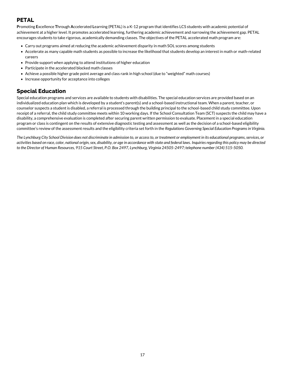## **PETAL**

**P**romoting **E**xcellence **T**hrough **A**ccelerated **L**earning (PETAL) is a K-12 program that identifies LCS students with academic potential of achievement at a higher level. It promotes accelerated learning, furthering academic achievement and narrowing the achievement gap. PETAL encourages students to take rigorous, academically demanding classes. The objectives of the PETAL accelerated math program are:

- Carry out programs aimed at reducing the academic achievement disparity in math SOL scores among students
- Accelerate as many capable math students as possible to increase the likelihood that students develop an interest in math or math-related careers
- Provide support when applying to attend institutions of higher education
- Participate in the accelerated blocked math classes
- Achieve a possible higher grade point average and class rank in high school (due to "weighted" math courses)
- Increase opportunity for acceptance into colleges

## **Special Education**

Special education programs and services are available to students with disabilities. The special education services are provided based on an individualized education plan which is developed by a student's parent(s) and a school-based instructional team. When a parent, teacher, or counselor suspects a student is disabled, a referral is processed through the building principal to the school-based child study committee. Upon receipt of a referral, the child study committee meets within 10 working days. If the School Consultation Team (SCT) suspects the child may have a disability, a comprehensive evaluation is completed after securing parent written permission to evaluate. Placement in a special education program or class is contingent on the results of extensive diagnostic testing and assessment as well as the decision of a school-based eligibility committee's review of the assessment results and the eligibility criteria set forth in the *Regulations Governing Special Education Programs in Virginia.*

*The Lynchburg City School Division does not discriminate in admission to, or access to, or treatment or employment in its educational programs, services, or activities based on race, color, national origin, sex, disability, or age in accordance with state and federal laws. Inquiries regarding this policy may be directed to the Director of Human Resources, 915 Court Street, P.O. Box 2497, Lynchburg, Virginia 24505-2497; telephone number (434) 515-5050.*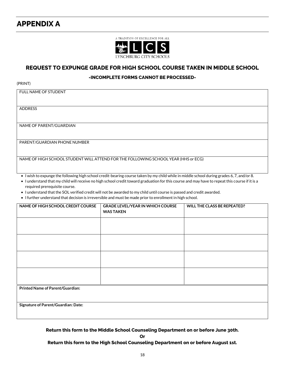# <span id="page-19-0"></span>**APPENDIX A**



## **REQUEST TO EXPUNGE GRADE FOR HIGH SCHOOL COURSE TAKEN IN MIDDLE SCHOOL**

## **-INCOMPLETE FORMS CANNOT BE PROCESSED-**

(PRINT)

FULL NAME OF STUDENT

ADDRESS

NAME OF PARENT/GUARDIAN

PARENT/GUARDIAN PHONE NUMBER

NAME OF HIGH SCHOOL STUDENT WILL ATTEND FOR THE FOLLOWING SCHOOL YEAR (HHS or ECG)

• I wish to expunge the following high school credit-bearing course taken by my child while in middle school during grades 6, 7, and/or 8.

• I understand that my child will receive no high school credit toward graduation for this course and may have to repeat this course if it is a required prerequisite course.

• I understand that the SOL verified credit will not be awarded to my child until course is passed and credit awarded.

• I further understand that decision is irreversible and must be made prior to enrollment in high school.

| NAME OF HIGH SCHOOL CREDIT COURSE       | <b>GRADE LEVEL/YEAR IN WHICH COURSE</b><br><b>WAS TAKEN</b> | WILL THE CLASS BE REPEATED? |  |  |
|-----------------------------------------|-------------------------------------------------------------|-----------------------------|--|--|
|                                         |                                                             |                             |  |  |
|                                         |                                                             |                             |  |  |
|                                         |                                                             |                             |  |  |
|                                         |                                                             |                             |  |  |
| <b>Printed Name of Parent/Guardian:</b> |                                                             |                             |  |  |
| Signature of Parent/Guardian: Date:     |                                                             |                             |  |  |

**Return this form to the Middle School Counseling Department on or before June 30th.**

**Or**

**Return this form to the High School Counseling Department on or before August 1st.**